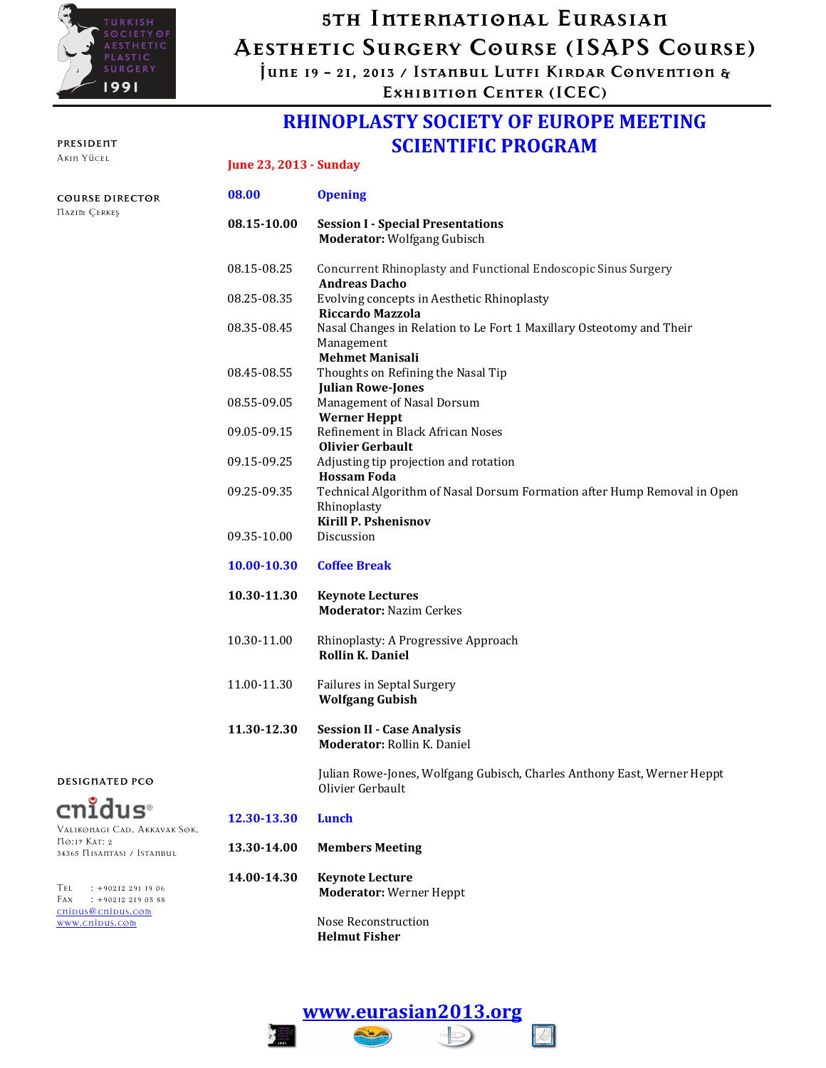

# 5th Internatıonal Eurasıan Aesthetıc Surgery Course (ISAPS Course)

June 19 - 21, 2013 / Istanbul Lutfı Kırdar Conventıon & Exhıbıtıon Center (ICEC)

### RHINOPLASTY SOCIETY OF EUROPE MEETING SCIENTIFIC PROGRAM June 23, 2013 - Sunday

Julian Rowe-Jones, Wolfgang Gubisch, Charles Anthony East, Werner Heppt

|                                               | JUNC 40, 4010 - SUNJAY |                                                                                                                        |  |
|-----------------------------------------------|------------------------|------------------------------------------------------------------------------------------------------------------------|--|
| <b>COURSE DIRECTOR</b><br><b>HAZIM CERKES</b> | 08.00                  | <b>Opening</b>                                                                                                         |  |
|                                               | 08.15-10.00            | <b>Session I - Special Presentations</b><br><b>Moderator:</b> Wolfgang Gubisch                                         |  |
|                                               | 08.15-08.25            | Concurrent Rhinoplasty and Functional Endoscopic Sinus Surgery<br><b>Andreas Dacho</b>                                 |  |
|                                               | 08.25-08.35            | Evolving concepts in Aesthetic Rhinoplasty<br>Riccardo Mazzola                                                         |  |
|                                               | 08.35-08.45            | Nasal Changes in Relation to Le Fort 1 Maxillary Osteotomy and Their<br>Management<br><b>Mehmet Manisali</b>           |  |
|                                               | 08.45-08.55            | Thoughts on Refining the Nasal Tip<br><b>Julian Rowe-Jones</b>                                                         |  |
|                                               | 08.55-09.05            | Management of Nasal Dorsum<br><b>Werner Heppt</b>                                                                      |  |
|                                               | 09.05-09.15            | Refinement in Black African Noses<br><b>Olivier Gerbault</b>                                                           |  |
|                                               | 09.15-09.25            | Adjusting tip projection and rotation<br><b>Hossam Foda</b>                                                            |  |
|                                               | 09.25-09.35            | Technical Algorithm of Nasal Dorsum Formation after Hump Removal in Open<br>Rhinoplasty<br><b>Kirill P. Pshenisnov</b> |  |
|                                               | 09.35-10.00            | Discussion                                                                                                             |  |
|                                               | 10.00-10.30            | <b>Coffee Break</b>                                                                                                    |  |
|                                               | 10.30-11.30            | <b>Keynote Lectures</b><br><b>Moderator: Nazim Cerkes</b>                                                              |  |

10.30-11.00 Rhinoplasty: A Progressive Approach Rollin K. Daniel

11.00-11.30 Failures in Septal Surgery Wolfgang Gubish

11.30-12.30 Session II - Case Analysis Moderator: Rollin K. Daniel

Olivier Gerbault

DESIGNATED PCO

cnidus Valıkonagı Cad. Akkavak Sok.

34365 Nısantası / Istanbul

Tel : +90212 291 19 06 Fax : +90212 219 05 88 cnidus@cnidus.com www.cnidus.com

No:17 Kat: 2

#### 12.30-13.30 Lunch

13.30-14.00 Members Meeting

14.00-14.30 Keynote Lecture Moderator: Werner Heppt

> Nose Reconstruction Helmut Fisher



### PRESIDENT

Akın Yücel